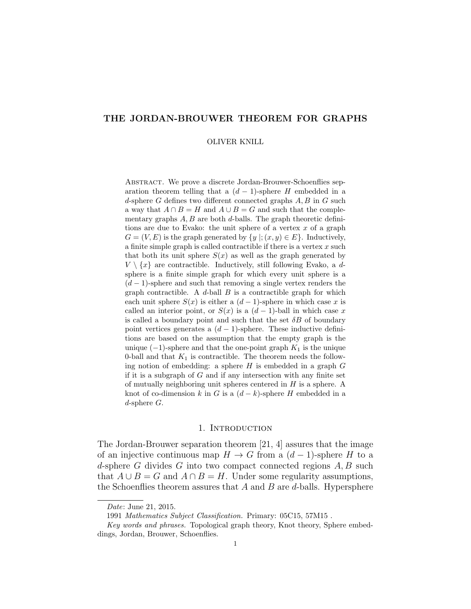# THE JORDAN-BROUWER THEOREM FOR GRAPHS

#### OLIVER KNILL

Abstract. We prove a discrete Jordan-Brouwer-Schoenflies separation theorem telling that a  $(d-1)$ -sphere H embedded in a d-sphere G defines two different connected graphs  $A, B$  in G such a way that  $A \cap B = H$  and  $A \cup B = G$  and such that the complementary graphs  $A, B$  are both d-balls. The graph theoretic definitions are due to Evako: the unit sphere of a vertex  $x$  of a graph  $G = (V, E)$  is the graph generated by  $\{y |; (x, y) \in E\}$ . Inductively, a finite simple graph is called contractible if there is a vertex  $x$  such that both its unit sphere  $S(x)$  as well as the graph generated by  $V \setminus \{x\}$  are contractible. Inductively, still following Evako, a dsphere is a finite simple graph for which every unit sphere is a  $(d-1)$ -sphere and such that removing a single vertex renders the graph contractible. A  $d$ -ball  $B$  is a contractible graph for which each unit sphere  $S(x)$  is either a  $(d-1)$ -sphere in which case x is called an interior point, or  $S(x)$  is a  $(d-1)$ -ball in which case x is called a boundary point and such that the set  $\delta B$  of boundary point vertices generates a  $(d-1)$ -sphere. These inductive definitions are based on the assumption that the empty graph is the unique  $(-1)$ -sphere and that the one-point graph  $K_1$  is the unique 0-ball and that  $K_1$  is contractible. The theorem needs the following notion of embedding: a sphere  $H$  is embedded in a graph  $G$ if it is a subgraph of  $G$  and if any intersection with any finite set of mutually neighboring unit spheres centered in  $H$  is a sphere. A knot of co-dimension k in G is a  $(d-k)$ -sphere H embedded in a d-sphere  $G$ .

#### 1. INTRODUCTION

The Jordan-Brouwer separation theorem [21, 4] assures that the image of an injective continuous map  $H \to G$  from a  $(d-1)$ -sphere H to a d-sphere G divides G into two compact connected regions  $A, B$  such that  $A \cup B = G$  and  $A \cap B = H$ . Under some regularity assumptions, the Schoenflies theorem assures that  $A$  and  $B$  are d-balls. Hypersphere

Date: June 21, 2015.

<sup>1991</sup> Mathematics Subject Classification. Primary: 05C15, 57M15 .

Key words and phrases. Topological graph theory, Knot theory, Sphere embeddings, Jordan, Brouwer, Schoenflies.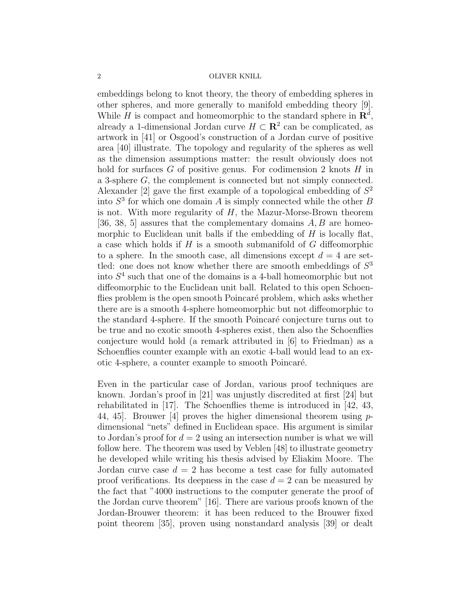embeddings belong to knot theory, the theory of embedding spheres in other spheres, and more generally to manifold embedding theory [9]. While H is compact and homeomorphic to the standard sphere in  $\mathbb{R}^d$ , already a 1-dimensional Jordan curve  $H \subset \mathbb{R}^2$  can be complicated, as artwork in [41] or Osgood's construction of a Jordan curve of positive area [40] illustrate. The topology and regularity of the spheres as well as the dimension assumptions matter: the result obviously does not hold for surfaces  $G$  of positive genus. For codimension 2 knots  $H$  in a 3-sphere G, the complement is connected but not simply connected. Alexander [2] gave the first example of a topological embedding of  $S<sup>2</sup>$ into  $S<sup>3</sup>$  for which one domain A is simply connected while the other B is not. With more regularity of  $H$ , the Mazur-Morse-Brown theorem [36, 38, 5] assures that the complementary domains  $A, B$  are homeomorphic to Euclidean unit balls if the embedding of  $H$  is locally flat, a case which holds if  $H$  is a smooth submanifold of  $G$  diffeomorphic to a sphere. In the smooth case, all dimensions except  $d = 4$  are settled: one does not know whether there are smooth embeddings of  $S<sup>3</sup>$ into  $S<sup>4</sup>$  such that one of the domains is a 4-ball homeomorphic but not diffeomorphic to the Euclidean unit ball. Related to this open Schoenflies problem is the open smooth Poincaré problem, which asks whether there are is a smooth 4-sphere homeomorphic but not diffeomorphic to the standard 4-sphere. If the smooth Poincaré conjecture turns out to be true and no exotic smooth 4-spheres exist, then also the Schoenflies conjecture would hold (a remark attributed in [6] to Friedman) as a Schoenflies counter example with an exotic 4-ball would lead to an exotic 4-sphere, a counter example to smooth Poincaré.

Even in the particular case of Jordan, various proof techniques are known. Jordan's proof in [21] was unjustly discredited at first [24] but rehabilitated in [17]. The Schoenflies theme is introduced in [42, 43, 44, 45. Brouwer [4] proves the higher dimensional theorem using  $p$ dimensional "nets" defined in Euclidean space. His argument is similar to Jordan's proof for  $d = 2$  using an intersection number is what we will follow here. The theorem was used by Veblen [48] to illustrate geometry he developed while writing his thesis advised by Eliakim Moore. The Jordan curve case  $d = 2$  has become a test case for fully automated proof verifications. Its deepness in the case  $d = 2$  can be measured by the fact that "4000 instructions to the computer generate the proof of the Jordan curve theorem" [16]. There are various proofs known of the Jordan-Brouwer theorem: it has been reduced to the Brouwer fixed point theorem [35], proven using nonstandard analysis [39] or dealt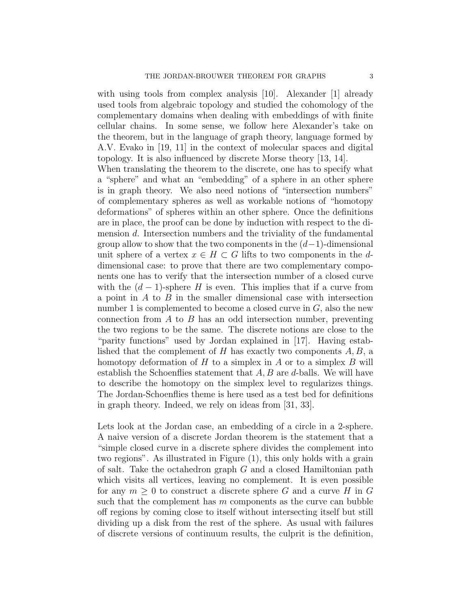with using tools from complex analysis [10]. Alexander [1] already used tools from algebraic topology and studied the cohomology of the complementary domains when dealing with embeddings of with finite cellular chains. In some sense, we follow here Alexander's take on the theorem, but in the language of graph theory, language formed by A.V. Evako in [19, 11] in the context of molecular spaces and digital topology. It is also influenced by discrete Morse theory [13, 14].

When translating the theorem to the discrete, one has to specify what a "sphere" and what an "embedding" of a sphere in an other sphere is in graph theory. We also need notions of "intersection numbers" of complementary spheres as well as workable notions of "homotopy deformations" of spheres within an other sphere. Once the definitions are in place, the proof can be done by induction with respect to the dimension d. Intersection numbers and the triviality of the fundamental group allow to show that the two components in the  $(d-1)$ -dimensional unit sphere of a vertex  $x \in H \subset G$  lifts to two components in the ddimensional case: to prove that there are two complementary components one has to verify that the intersection number of a closed curve with the  $(d-1)$ -sphere H is even. This implies that if a curve from a point in  $A$  to  $B$  in the smaller dimensional case with intersection number 1 is complemented to become a closed curve in  $G$ , also the new connection from  $A$  to  $B$  has an odd intersection number, preventing the two regions to be the same. The discrete notions are close to the "parity functions" used by Jordan explained in [17]. Having established that the complement of  $H$  has exactly two components  $A, B$ , a homotopy deformation of  $H$  to a simplex in  $A$  or to a simplex  $B$  will establish the Schoenflies statement that  $A, B$  are d-balls. We will have to describe the homotopy on the simplex level to regularizes things. The Jordan-Schoenflies theme is here used as a test bed for definitions in graph theory. Indeed, we rely on ideas from [31, 33].

Lets look at the Jordan case, an embedding of a circle in a 2-sphere. A naive version of a discrete Jordan theorem is the statement that a "simple closed curve in a discrete sphere divides the complement into two regions". As illustrated in Figure (1), this only holds with a grain of salt. Take the octahedron graph G and a closed Hamiltonian path which visits all vertices, leaving no complement. It is even possible for any  $m \geq 0$  to construct a discrete sphere G and a curve H in G such that the complement has  $m$  components as the curve can bubble off regions by coming close to itself without intersecting itself but still dividing up a disk from the rest of the sphere. As usual with failures of discrete versions of continuum results, the culprit is the definition,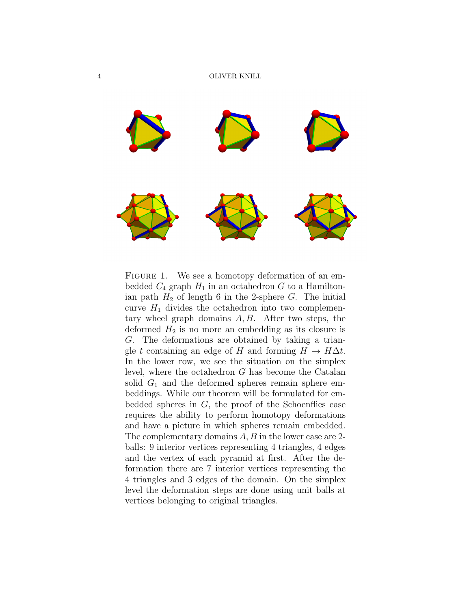

FIGURE 1. We see a homotopy deformation of an embedded  $C_4$  graph  $H_1$  in an octahedron G to a Hamiltonian path  $H_2$  of length 6 in the 2-sphere G. The initial curve  $H_1$  divides the octahedron into two complementary wheel graph domains  $A, B$ . After two steps, the deformed  $H_2$  is no more an embedding as its closure is G. The deformations are obtained by taking a triangle t containing an edge of H and forming  $H \to H\Delta t$ . In the lower row, we see the situation on the simplex level, where the octahedron G has become the Catalan solid  $G_1$  and the deformed spheres remain sphere embeddings. While our theorem will be formulated for embedded spheres in  $G$ , the proof of the Schoenflies case requires the ability to perform homotopy deformations and have a picture in which spheres remain embedded. The complementary domains A, B in the lower case are 2 balls: 9 interior vertices representing 4 triangles, 4 edges and the vertex of each pyramid at first. After the deformation there are 7 interior vertices representing the 4 triangles and 3 edges of the domain. On the simplex level the deformation steps are done using unit balls at vertices belonging to original triangles.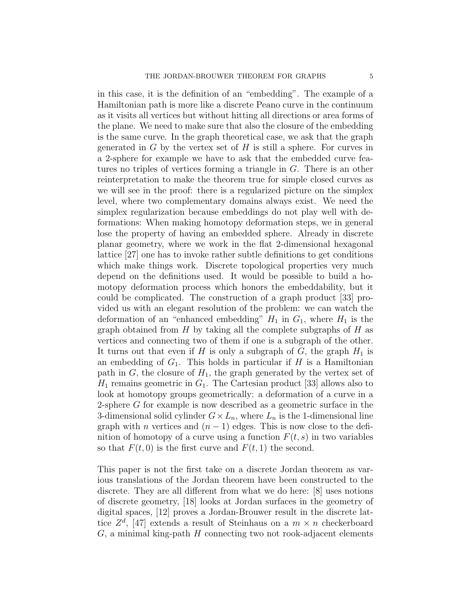in this case, it is the definition of an "embedding". The example of a Hamiltonian path is more like a discrete Peano curve in the continuum as it visits all vertices but without hitting all directions or area forms of the plane. We need to make sure that also the closure of the embedding is the same curve. In the graph theoretical case, we ask that the graph generated in  $G$  by the vertex set of  $H$  is still a sphere. For curves in a 2-sphere for example we have to ask that the embedded curve features no triples of vertices forming a triangle in G. There is an other reinterpretation to make the theorem true for simple closed curves as we will see in the proof: there is a regularized picture on the simplex level, where two complementary domains always exist. We need the simplex regularization because embeddings do not play well with deformations: When making homotopy deformation steps, we in general lose the property of having an embedded sphere. Already in discrete planar geometry, where we work in the flat 2-dimensional hexagonal lattice [27] one has to invoke rather subtle definitions to get conditions which make things work. Discrete topological properties very much depend on the definitions used. It would be possible to build a homotopy deformation process which honors the embeddability, but it could be complicated. The construction of a graph product [33] provided us with an elegant resolution of the problem: we can watch the deformation of an "enhanced embedding"  $H_1$  in  $G_1$ , where  $H_1$  is the graph obtained from  $H$  by taking all the complete subgraphs of  $H$  as vertices and connecting two of them if one is a subgraph of the other. It turns out that even if H is only a subgraph of G, the graph  $H_1$  is an embedding of  $G_1$ . This holds in particular if H is a Hamiltonian path in  $G$ , the closure of  $H_1$ , the graph generated by the vertex set of  $H_1$  remains geometric in  $G_1$ . The Cartesian product [33] allows also to look at homotopy groups geometrically: a deformation of a curve in a 2-sphere G for example is now described as a geometric surface in the 3-dimensional solid cylinder  $G \times L_n$ , where  $L_n$  is the 1-dimensional line graph with *n* vertices and  $(n-1)$  edges. This is now close to the definition of homotopy of a curve using a function  $F(t, s)$  in two variables so that  $F(t, 0)$  is the first curve and  $F(t, 1)$  the second.

This paper is not the first take on a discrete Jordan theorem as various translations of the Jordan theorem have been constructed to the discrete. They are all different from what we do here: [8] uses notions of discrete geometry, [18] looks at Jordan surfaces in the geometry of digital spaces, [12] proves a Jordan-Brouwer result in the discrete lattice  $Z^d$ , [47] extends a result of Steinhaus on a  $m \times n$  checkerboard  $G$ , a minimal king-path  $H$  connecting two not rook-adjacent elements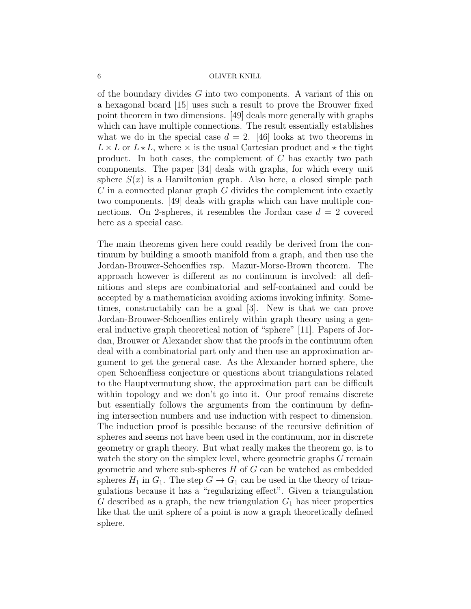of the boundary divides G into two components. A variant of this on a hexagonal board [15] uses such a result to prove the Brouwer fixed point theorem in two dimensions. [49] deals more generally with graphs which can have multiple connections. The result essentially establishes what we do in the special case  $d = 2$ . [46] looks at two theorems in  $L \times L$  or  $L \times L$ , where  $\times$  is the usual Cartesian product and  $\star$  the tight product. In both cases, the complement of C has exactly two path components. The paper [34] deals with graphs, for which every unit sphere  $S(x)$  is a Hamiltonian graph. Also here, a closed simple path  $C$  in a connected planar graph  $G$  divides the complement into exactly two components. [49] deals with graphs which can have multiple connections. On 2-spheres, it resembles the Jordan case  $d = 2$  covered here as a special case.

The main theorems given here could readily be derived from the continuum by building a smooth manifold from a graph, and then use the Jordan-Brouwer-Schoenflies rsp. Mazur-Morse-Brown theorem. The approach however is different as no continuum is involved: all definitions and steps are combinatorial and self-contained and could be accepted by a mathematician avoiding axioms invoking infinity. Sometimes, constructabily can be a goal [3]. New is that we can prove Jordan-Brouwer-Schoenflies entirely within graph theory using a general inductive graph theoretical notion of "sphere" [11]. Papers of Jordan, Brouwer or Alexander show that the proofs in the continuum often deal with a combinatorial part only and then use an approximation argument to get the general case. As the Alexander horned sphere, the open Schoenfliess conjecture or questions about triangulations related to the Hauptvermutung show, the approximation part can be difficult within topology and we don't go into it. Our proof remains discrete but essentially follows the arguments from the continuum by defining intersection numbers and use induction with respect to dimension. The induction proof is possible because of the recursive definition of spheres and seems not have been used in the continuum, nor in discrete geometry or graph theory. But what really makes the theorem go, is to watch the story on the simplex level, where geometric graphs G remain geometric and where sub-spheres  $H$  of  $G$  can be watched as embedded spheres  $H_1$  in  $G_1$ . The step  $G \to G_1$  can be used in the theory of triangulations because it has a "regularizing effect". Given a triangulation G described as a graph, the new triangulation  $G_1$  has nicer properties like that the unit sphere of a point is now a graph theoretically defined sphere.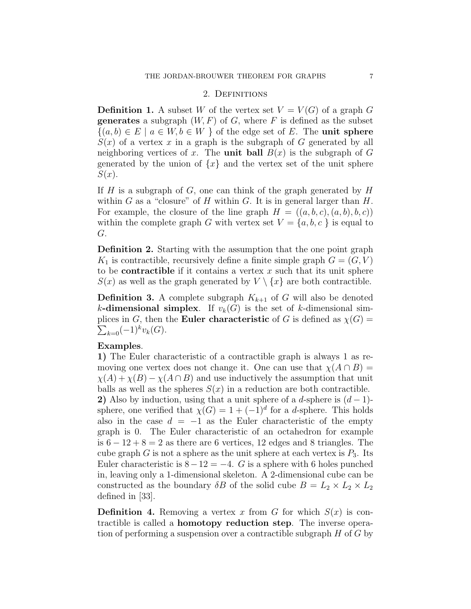### 2. DEFINITIONS

**Definition 1.** A subset W of the vertex set  $V = V(G)$  of a graph G **generates** a subgraph  $(W, F)$  of G, where F is defined as the subset  $\{(a, b) \in E \mid a \in W, b \in W \}$  of the edge set of E. The unit sphere  $S(x)$  of a vertex x in a graph is the subgraph of G generated by all neighboring vertices of x. The **unit ball**  $B(x)$  is the subgraph of G generated by the union of  $\{x\}$  and the vertex set of the unit sphere  $S(x)$ .

If H is a subgraph of G, one can think of the graph generated by  $H$ within G as a "closure" of H within G. It is in general larger than  $H$ . For example, the closure of the line graph  $H = ((a, b, c), (a, b), b, c))$ within the complete graph G with vertex set  $V = \{a, b, c\}$  is equal to G.

Definition 2. Starting with the assumption that the one point graph  $K_1$  is contractible, recursively define a finite simple graph  $G = (G, V)$ to be **contractible** if it contains a vertex x such that its unit sphere  $S(x)$  as well as the graph generated by  $V \setminus \{x\}$  are both contractible.

**Definition 3.** A complete subgraph  $K_{k+1}$  of G will also be denoted k-dimensional simplex. If  $v_k(G)$  is the set of k-dimensional sim- $\sum_{k=0} (-1)^k v_k(G).$ plices in G, then the **Euler characteristic** of G is defined as  $\chi(G)$  =

# Examples.

1) The Euler characteristic of a contractible graph is always 1 as removing one vertex does not change it. One can use that  $\chi(A \cap B) =$  $\chi(A) + \chi(B) - \chi(A \cap B)$  and use inductively the assumption that unit balls as well as the spheres  $S(x)$  in a reduction are both contractible. 2) Also by induction, using that a unit sphere of a d-sphere is  $(d-1)$ sphere, one verified that  $\chi(G) = 1 + (-1)^d$  for a d-sphere. This holds also in the case  $d = -1$  as the Euler characteristic of the empty graph is 0. The Euler characteristic of an octahedron for example is  $6 - 12 + 8 = 2$  as there are 6 vertices, 12 edges and 8 triangles. The cube graph G is not a sphere as the unit sphere at each vertex is  $P_3$ . Its Euler characteristic is  $8-12=-4$ . G is a sphere with 6 holes punched in, leaving only a 1-dimensional skeleton. A 2-dimensional cube can be constructed as the boundary  $\delta B$  of the solid cube  $B = L_2 \times L_2 \times L_2$ defined in [33].

**Definition 4.** Removing a vertex x from G for which  $S(x)$  is contractible is called a homotopy reduction step. The inverse operation of performing a suspension over a contractible subgraph  $H$  of  $G$  by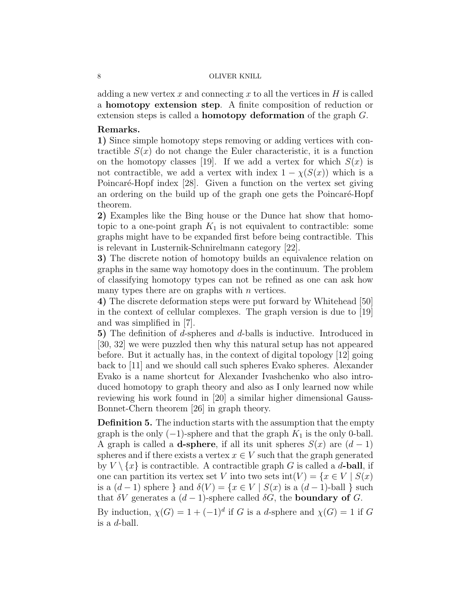adding a new vertex x and connecting x to all the vertices in  $H$  is called a homotopy extension step. A finite composition of reduction or extension steps is called a homotopy deformation of the graph G.

## Remarks.

1) Since simple homotopy steps removing or adding vertices with contractible  $S(x)$  do not change the Euler characteristic, it is a function on the homotopy classes [19]. If we add a vertex for which  $S(x)$  is not contractible, we add a vertex with index  $1 - \chi(S(x))$  which is a Poincaré-Hopf index [28]. Given a function on the vertex set giving an ordering on the build up of the graph one gets the Poincaré-Hopf theorem.

2) Examples like the Bing house or the Dunce hat show that homotopic to a one-point graph  $K_1$  is not equivalent to contractible: some graphs might have to be expanded first before being contractible. This is relevant in Lusternik-Schnirelmann category [22].

3) The discrete notion of homotopy builds an equivalence relation on graphs in the same way homotopy does in the continuum. The problem of classifying homotopy types can not be refined as one can ask how many types there are on graphs with  $n$  vertices.

4) The discrete deformation steps were put forward by Whitehead [50] in the context of cellular complexes. The graph version is due to [19] and was simplified in [7].

5) The definition of d-spheres and d-balls is inductive. Introduced in [30, 32] we were puzzled then why this natural setup has not appeared before. But it actually has, in the context of digital topology [12] going back to [11] and we should call such spheres Evako spheres. Alexander Evako is a name shortcut for Alexander Ivashchenko who also introduced homotopy to graph theory and also as I only learned now while reviewing his work found in [20] a similar higher dimensional Gauss-Bonnet-Chern theorem [26] in graph theory.

Definition 5. The induction starts with the assumption that the empty graph is the only  $(-1)$ -sphere and that the graph  $K_1$  is the only 0-ball. A graph is called a **d-sphere**, if all its unit spheres  $S(x)$  are  $(d-1)$ spheres and if there exists a vertex  $x \in V$  such that the graph generated by  $V \setminus \{x\}$  is contractible. A contractible graph G is called a d-ball, if one can partition its vertex set V into two sets  $\text{int}(V) = \{x \in V \mid S(x)$ is a  $(d-1)$  sphere } and  $\delta(V) = \{x \in V \mid S(x)$  is a  $(d-1)$ -ball } such that  $\delta V$  generates a  $(d-1)$ -sphere called  $\delta G$ , the **boundary of** G.

By induction,  $\chi(G) = 1 + (-1)^d$  if G is a d-sphere and  $\chi(G) = 1$  if G is a d-ball.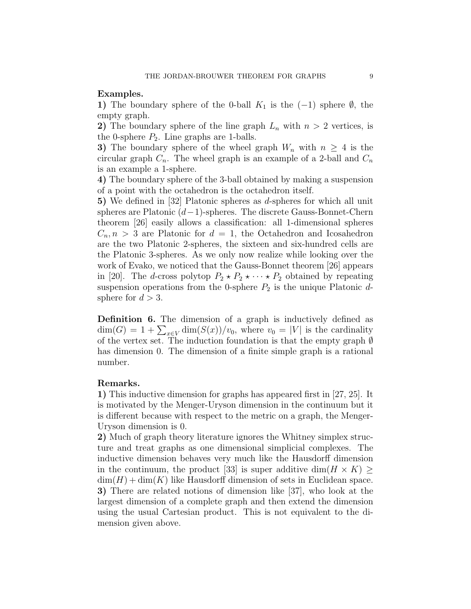## Examples.

1) The boundary sphere of the 0-ball  $K_1$  is the (-1) sphere  $\emptyset$ , the empty graph.

2) The boundary sphere of the line graph  $L_n$  with  $n > 2$  vertices, is the 0-sphere  $P_2$ . Line graphs are 1-balls.

3) The boundary sphere of the wheel graph  $W_n$  with  $n \geq 4$  is the circular graph  $C_n$ . The wheel graph is an example of a 2-ball and  $C_n$ is an example a 1-sphere.

4) The boundary sphere of the 3-ball obtained by making a suspension of a point with the octahedron is the octahedron itself.

5) We defined in [32] Platonic spheres as d-spheres for which all unit spheres are Platonic (d−1)-spheres. The discrete Gauss-Bonnet-Chern theorem [26] easily allows a classification: all 1-dimensional spheres  $C_n, n > 3$  are Platonic for  $d = 1$ , the Octahedron and Icosahedron are the two Platonic 2-spheres, the sixteen and six-hundred cells are the Platonic 3-spheres. As we only now realize while looking over the work of Evako, we noticed that the Gauss-Bonnet theorem [26] appears in [20]. The *d*-cross polytop  $P_2 \star P_2 \star \cdots \star P_2$  obtained by repeating suspension operations from the 0-sphere  $P_2$  is the unique Platonic  $d$ sphere for  $d > 3$ .

Definition 6. The dimension of a graph is inductively defined as  $\dim(G) = 1 + \sum_{x \in V} \dim(S(x))/v_0$ , where  $v_0 = |V|$  is the cardinality of the vertex set. The induction foundation is that the empty graph  $\emptyset$ has dimension 0. The dimension of a finite simple graph is a rational number.

## Remarks.

1) This inductive dimension for graphs has appeared first in [27, 25]. It is motivated by the Menger-Uryson dimension in the continuum but it is different because with respect to the metric on a graph, the Menger-Uryson dimension is 0.

2) Much of graph theory literature ignores the Whitney simplex structure and treat graphs as one dimensional simplicial complexes. The inductive dimension behaves very much like the Hausdorff dimension in the continuum, the product [33] is super additive dim $(H \times K) \ge$  $\dim(H) + \dim(K)$  like Hausdorff dimension of sets in Euclidean space. 3) There are related notions of dimension like [37], who look at the largest dimension of a complete graph and then extend the dimension using the usual Cartesian product. This is not equivalent to the dimension given above.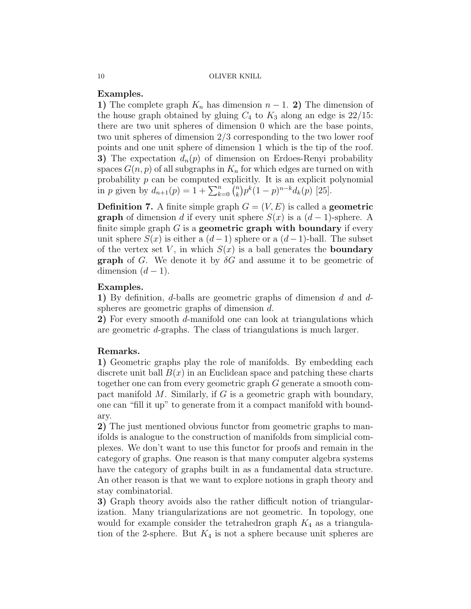# Examples.

1) The complete graph  $K_n$  has dimension  $n-1$ . 2) The dimension of the house graph obtained by gluing  $C_4$  to  $K_3$  along an edge is 22/15: there are two unit spheres of dimension 0 which are the base points, two unit spheres of dimension 2/3 corresponding to the two lower roof points and one unit sphere of dimension 1 which is the tip of the roof. 3) The expectation  $d_n(p)$  of dimension on Erdoes-Renyi probability spaces  $G(n, p)$  of all subgraphs in  $K_n$  for which edges are turned on with probability  $p$  can be computed explicitly. It is an explicit polynomial in p given by  $d_{n+1}(p) = 1 + \sum_{k=0}^{n} {n \choose k}$  $\binom{n}{k} p^k (1-p)^{n-k} d_k(p)$  [25].

**Definition 7.** A finite simple graph  $G = (V, E)$  is called a **geometric graph** of dimension d if every unit sphere  $S(x)$  is a  $(d-1)$ -sphere. A finite simple graph  $G$  is a **geometric graph with boundary** if every unit sphere  $S(x)$  is either a  $(d-1)$  sphere or a  $(d-1)$ -ball. The subset of the vertex set V, in which  $S(x)$  is a ball generates the **boundary graph** of G. We denote it by  $\delta G$  and assume it to be geometric of dimension  $(d-1)$ .

# Examples.

1) By definition, d-balls are geometric graphs of dimension d and dspheres are geometric graphs of dimension d.

2) For every smooth d-manifold one can look at triangulations which are geometric d-graphs. The class of triangulations is much larger.

# Remarks.

1) Geometric graphs play the role of manifolds. By embedding each discrete unit ball  $B(x)$  in an Euclidean space and patching these charts together one can from every geometric graph G generate a smooth compact manifold  $M$ . Similarly, if  $G$  is a geometric graph with boundary, one can "fill it up" to generate from it a compact manifold with boundary.

2) The just mentioned obvious functor from geometric graphs to manifolds is analogue to the construction of manifolds from simplicial complexes. We don't want to use this functor for proofs and remain in the category of graphs. One reason is that many computer algebra systems have the category of graphs built in as a fundamental data structure. An other reason is that we want to explore notions in graph theory and stay combinatorial.

3) Graph theory avoids also the rather difficult notion of triangularization. Many triangularizations are not geometric. In topology, one would for example consider the tetrahedron graph  $K_4$  as a triangulation of the 2-sphere. But  $K_4$  is not a sphere because unit spheres are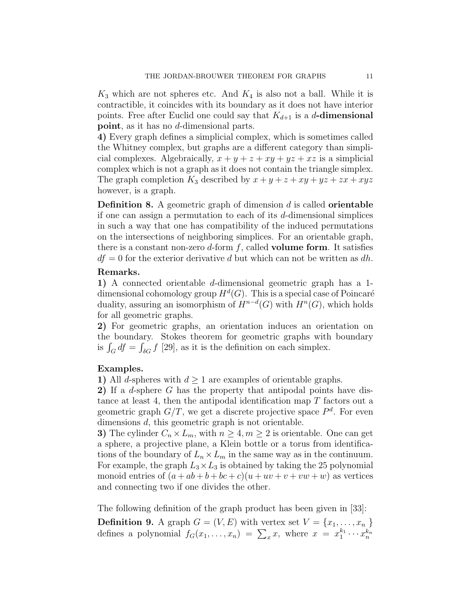$K_3$  which are not spheres etc. And  $K_4$  is also not a ball. While it is contractible, it coincides with its boundary as it does not have interior points. Free after Euclid one could say that  $K_{d+1}$  is a d-dimensional point, as it has no d-dimensional parts.

4) Every graph defines a simplicial complex, which is sometimes called the Whitney complex, but graphs are a different category than simplicial complexes. Algebraically,  $x + y + z + xy + yz + xz$  is a simplicial complex which is not a graph as it does not contain the triangle simplex. The graph completion  $K_3$  described by  $x + y + z + xy + yz + zx + xyz$ however, is a graph.

**Definition 8.** A geometric graph of dimension  $d$  is called **orientable** if one can assign a permutation to each of its d-dimensional simplices in such a way that one has compatibility of the induced permutations on the intersections of neighboring simplices. For an orientable graph, there is a constant non-zero d-form  $f$ , called **volume form**. It satisfies  $df = 0$  for the exterior derivative d but which can not be written as dh.

# Remarks.

1) A connected orientable d-dimensional geometric graph has a 1 dimensional cohomology group  $H^d(G)$ . This is a special case of Poincaré duality, assuring an isomorphism of  $H^{n-d}(G)$  with  $H^n(G)$ , which holds for all geometric graphs.

2) For geometric graphs, an orientation induces an orientation on the boundary. Stokes theorem for geometric graphs with boundary is  $\int_G df = \int_{\delta G} f$  [29], as it is the definition on each simplex.

## Examples.

1) All *d*-spheres with  $d \geq 1$  are examples of orientable graphs.

2) If a d-sphere G has the property that antipodal points have distance at least 4, then the antipodal identification map T factors out a geometric graph  $G/T$ , we get a discrete projective space  $P<sup>d</sup>$ . For even dimensions d, this geometric graph is not orientable.

3) The cylinder  $C_n \times L_m$ , with  $n \geq 4, m \geq 2$  is orientable. One can get a sphere, a projective plane, a Klein bottle or a torus from identifications of the boundary of  $L_n \times L_m$  in the same way as in the continuum. For example, the graph  $L_3 \times L_3$  is obtained by taking the 25 polynomial monoid entries of  $(a + ab + b + bc + c)(u + uv + v + vw + w)$  as vertices and connecting two if one divides the other.

The following definition of the graph product has been given in [33]:

**Definition 9.** A graph  $G = (V, E)$  with vertex set  $V = \{x_1, \ldots, x_n\}$ defines a polynomial  $f_G(x_1, \ldots, x_n) = \sum_x x$ , where  $x = x_1^{k_1} \cdots x_n^{k_n}$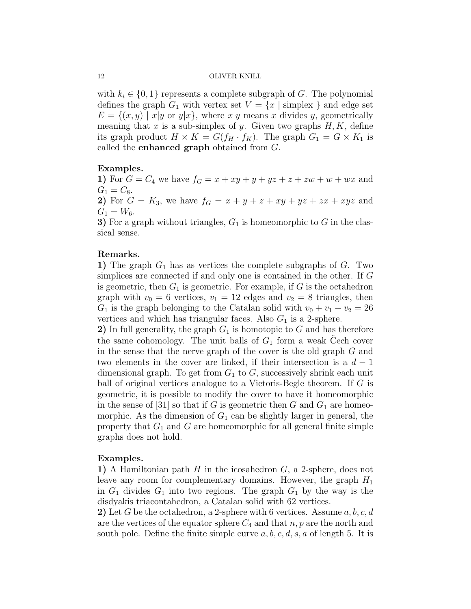with  $k_i \in \{0,1\}$  represents a complete subgraph of G. The polynomial defines the graph  $G_1$  with vertex set  $V = \{x \mid \text{simplex}\}\$  and edge set  $E = \{(x, y) \mid x|y \text{ or } y|x\}$ , where  $x|y$  means x divides y, geometrically meaning that x is a sub-simplex of y. Given two graphs  $H, K$ , define its graph product  $H \times K = G(f_H \cdot f_K)$ . The graph  $G_1 = G \times K_1$  is called the enhanced graph obtained from G.

# Examples.

1) For  $G = C_4$  we have  $f_G = x + xy + y + yz + z + zw + w + wx$  and  $G_1 = C_8.$ 

2) For  $G = K_3$ , we have  $f_G = x + y + z + xy + yz + zx + xyz$  and  $G_1 = W_6.$ 

3) For a graph without triangles,  $G_1$  is homeomorphic to G in the classical sense.

## Remarks.

1) The graph  $G_1$  has as vertices the complete subgraphs of  $G$ . Two simplices are connected if and only one is contained in the other. If G is geometric, then  $G_1$  is geometric. For example, if G is the octahedron graph with  $v_0 = 6$  vertices,  $v_1 = 12$  edges and  $v_2 = 8$  triangles, then  $G_1$  is the graph belonging to the Catalan solid with  $v_0 + v_1 + v_2 = 26$ vertices and which has triangular faces. Also  $G_1$  is a 2-sphere.

2) In full generality, the graph  $G_1$  is homotopic to G and has therefore the same cohomology. The unit balls of  $G_1$  form a weak Cech cover in the sense that the nerve graph of the cover is the old graph G and two elements in the cover are linked, if their intersection is a  $d-1$ dimensional graph. To get from  $G_1$  to  $G$ , successively shrink each unit ball of original vertices analogue to a Vietoris-Begle theorem. If G is geometric, it is possible to modify the cover to have it homeomorphic in the sense of [31] so that if G is geometric then G and  $G_1$  are homeomorphic. As the dimension of  $G_1$  can be slightly larger in general, the property that  $G_1$  and G are homeomorphic for all general finite simple graphs does not hold.

# Examples.

1) A Hamiltonian path  $H$  in the icosahedron  $G$ , a 2-sphere, does not leave any room for complementary domains. However, the graph  $H_1$ in  $G_1$  divides  $G_1$  into two regions. The graph  $G_1$  by the way is the disdyakis triacontahedron, a Catalan solid with 62 vertices.

2) Let G be the octahedron, a 2-sphere with 6 vertices. Assume  $a, b, c, d$ are the vertices of the equator sphere  $C_4$  and that  $n, p$  are the north and south pole. Define the finite simple curve  $a, b, c, d, s, a$  of length 5. It is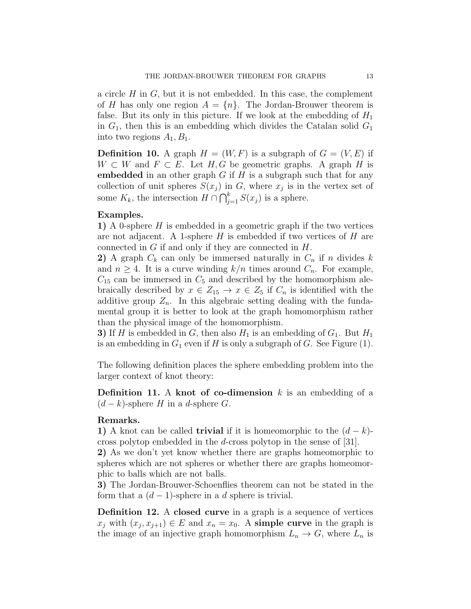a circle  $H$  in  $G$ , but it is not embedded. In this case, the complement of H has only one region  $A = \{n\}$ . The Jordan-Brouwer theorem is false. But its only in this picture. If we look at the embedding of  $H_1$ in  $G_1$ , then this is an embedding which divides the Catalan solid  $G_1$ into two regions  $A_1, B_1$ .

**Definition 10.** A graph  $H = (W, F)$  is a subgraph of  $G = (V, E)$  if  $W \subset W$  and  $F \subset E$ . Let  $H, G$  be geometric graphs. A graph H is embedded in an other graph  $G$  if  $H$  is a subgraph such that for any collection of unit spheres  $S(x_j)$  in G, where  $x_j$  is in the vertex set of some  $K_k$ , the intersection  $H \cap \bigcap_{j=1}^k S(x_j)$  is a sphere.

## Examples.

1) A 0-sphere  $H$  is embedded in a geometric graph if the two vertices are not adjacent. A 1-sphere  $H$  is embedded if two vertices of  $H$  are connected in  $G$  if and only if they are connected in  $H$ .

2) A graph  $C_k$  can only be immersed naturally in  $C_n$  if n divides k and  $n \geq 4$ . It is a curve winding  $k/n$  times around  $C_n$ . For example,  $C_{15}$  can be immersed in  $C_5$  and described by the homomorphism alebraically described by  $x \in Z_{15} \to x \in Z_5$  if  $C_n$  is identified with the additive group  $Z_n$ . In this algebraic setting dealing with the fundamental group it is better to look at the graph homomorphism rather than the physical image of the homomorphism.

3) If H is embedded in G, then also  $H_1$  is an embedding of  $G_1$ . But  $H_1$ is an embedding in  $G_1$  even if H is only a subgraph of G. See Figure (1).

The following definition places the sphere embedding problem into the larger context of knot theory:

**Definition 11.** A knot of co-dimension  $k$  is an embedding of a  $(d-k)$ -sphere H in a d-sphere G.

# Remarks.

1) A knot can be called **trivial** if it is homeomorphic to the  $(d - k)$ cross polytop embedded in the d-cross polytop in the sense of [31].

2) As we don't yet know whether there are graphs homeomorphic to spheres which are not spheres or whether there are graphs homeomorphic to balls which are not balls.

3) The Jordan-Brouwer-Schoenflies theorem can not be stated in the form that a  $(d-1)$ -sphere in a d sphere is trivial.

Definition 12. A closed curve in a graph is a sequence of vertices  $x_j$  with  $(x_j, x_{j+1}) \in E$  and  $x_n = x_0$ . A simple curve in the graph is the image of an injective graph homomorphism  $L_n \to G$ , where  $L_n$  is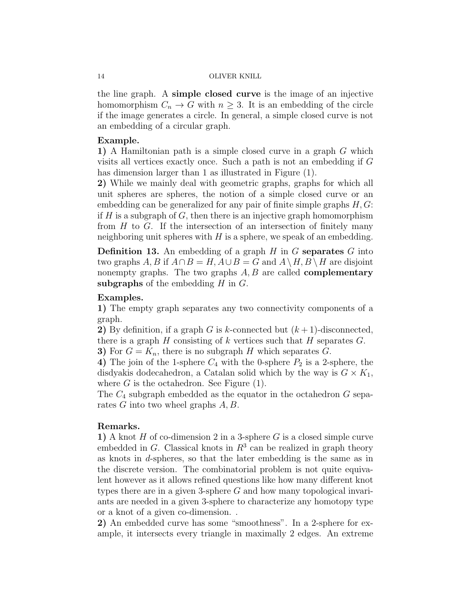the line graph. A simple closed curve is the image of an injective homomorphism  $C_n \to G$  with  $n \geq 3$ . It is an embedding of the circle if the image generates a circle. In general, a simple closed curve is not an embedding of a circular graph.

## Example.

1) A Hamiltonian path is a simple closed curve in a graph G which visits all vertices exactly once. Such a path is not an embedding if G has dimension larger than 1 as illustrated in Figure (1).

2) While we mainly deal with geometric graphs, graphs for which all unit spheres are spheres, the notion of a simple closed curve or an embedding can be generalized for any pair of finite simple graphs  $H, G$ : if  $H$  is a subgraph of  $G$ , then there is an injective graph homomorphism from  $H$  to  $G$ . If the intersection of an intersection of finitely many neighboring unit spheres with  $H$  is a sphere, we speak of an embedding.

**Definition 13.** An embedding of a graph  $H$  in  $G$  separates  $G$  into two graphs A, B if  $A \cap B = H$ ,  $A \cup B = G$  and  $A \setminus H$ ,  $B \setminus H$  are disjoint nonempty graphs. The two graphs  $A, B$  are called **complementary** subgraphs of the embedding  $H$  in  $G$ .

# Examples.

1) The empty graph separates any two connectivity components of a graph.

2) By definition, if a graph G is k-connected but  $(k+1)$ -disconnected, there is a graph  $H$  consisting of  $k$  vertices such that  $H$  separates  $G$ . 3) For  $G = K_n$ , there is no subgraph H which separates G.

4) The join of the 1-sphere  $C_4$  with the 0-sphere  $P_2$  is a 2-sphere, the disdyakis dodecahedron, a Catalan solid which by the way is  $G \times K_1$ , where  $G$  is the octahedron. See Figure  $(1)$ .

The  $C_4$  subgraph embedded as the equator in the octahedron G separates G into two wheel graphs A, B.

# Remarks.

1) A knot  $H$  of co-dimension 2 in a 3-sphere  $G$  is a closed simple curve embedded in  $G$ . Classical knots in  $R<sup>3</sup>$  can be realized in graph theory as knots in d-spheres, so that the later embedding is the same as in the discrete version. The combinatorial problem is not quite equivalent however as it allows refined questions like how many different knot types there are in a given 3-sphere  $G$  and how many topological invariants are needed in a given 3-sphere to characterize any homotopy type or a knot of a given co-dimension. .

2) An embedded curve has some "smoothness". In a 2-sphere for example, it intersects every triangle in maximally 2 edges. An extreme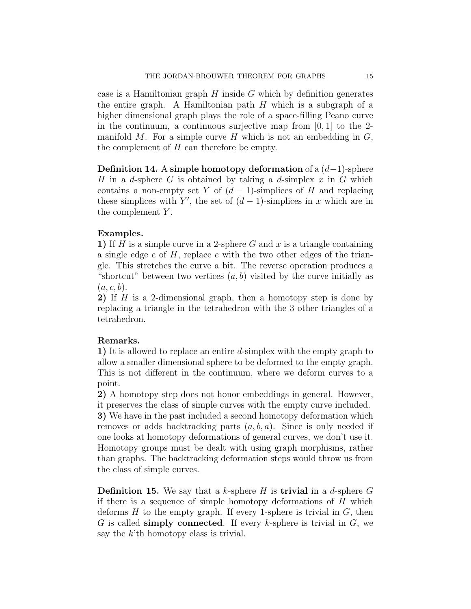case is a Hamiltonian graph  $H$  inside  $G$  which by definition generates the entire graph. A Hamiltonian path  $H$  which is a subgraph of a higher dimensional graph plays the role of a space-filling Peano curve in the continuum, a continuous surjective map from  $[0, 1]$  to the 2manifold M. For a simple curve H which is not an embedding in  $G$ , the complement of H can therefore be empty.

Definition 14. A simple homotopy deformation of a  $(d-1)$ -sphere H in a d-sphere G is obtained by taking a d-simplex x in G which contains a non-empty set Y of  $(d-1)$ -simplices of H and replacing these simplices with Y', the set of  $(d-1)$ -simplices in x which are in the complement  $Y$ .

# Examples.

1) If H is a simple curve in a 2-sphere G and x is a triangle containing a single edge  $e$  of  $H$ , replace  $e$  with the two other edges of the triangle. This stretches the curve a bit. The reverse operation produces a "shortcut" between two vertices  $(a, b)$  visited by the curve initially as  $(a, c, b).$ 

2) If  $H$  is a 2-dimensional graph, then a homotopy step is done by replacing a triangle in the tetrahedron with the 3 other triangles of a tetrahedron.

# Remarks.

1) It is allowed to replace an entire d-simplex with the empty graph to allow a smaller dimensional sphere to be deformed to the empty graph. This is not different in the continuum, where we deform curves to a point.

2) A homotopy step does not honor embeddings in general. However, it preserves the class of simple curves with the empty curve included.

3) We have in the past included a second homotopy deformation which removes or adds backtracking parts  $(a, b, a)$ . Since is only needed if one looks at homotopy deformations of general curves, we don't use it. Homotopy groups must be dealt with using graph morphisms, rather than graphs. The backtracking deformation steps would throw us from the class of simple curves.

**Definition 15.** We say that a k-sphere H is **trivial** in a d-sphere  $G$ if there is a sequence of simple homotopy deformations of H which deforms  $H$  to the empty graph. If every 1-sphere is trivial in  $G$ , then G is called simply connected. If every k-sphere is trivial in  $G$ , we say the k'th homotopy class is trivial.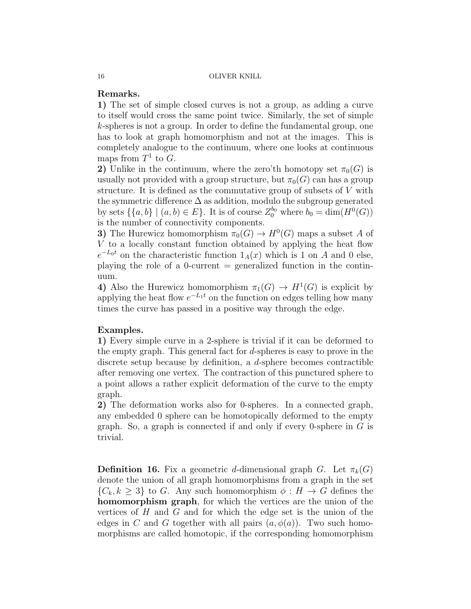# Remarks.

1) The set of simple closed curves is not a group, as adding a curve to itself would cross the same point twice. Similarly, the set of simple k-spheres is not a group. In order to define the fundamental group, one has to look at graph homomorphism and not at the images. This is completely analogue to the continuum, where one looks at continuous maps from  $T^1$  to  $G$ .

2) Unlike in the continuum, where the zero'th homotopy set  $\pi_0(G)$  is usually not provided with a group structure, but  $\pi_0(G)$  can has a group structure. It is defined as the commutative group of subsets of V with the symmetric difference  $\Delta$  as addition, modulo the subgroup generated by sets  $\{\{a,b\} \mid (a,b) \in E\}$ . It is of course  $Z_0^{b_0}$  where  $b_0 = \dim(H^0(G))$ is the number of connectivity components.

3) The Hurewicz homomorphism  $\pi_0(G) \to H^0(G)$  maps a subset A of V to a locally constant function obtained by applying the heat flow  $e^{-L_0t}$  on the characteristic function  $1_A(x)$  which is 1 on A and 0 else, playing the role of a 0-current  $=$  generalized function in the continuum.

4) Also the Hurewicz homomorphism  $\pi_1(G) \to H^1(G)$  is explicit by applying the heat flow  $e^{-L_1t}$  on the function on edges telling how many times the curve has passed in a positive way through the edge.

# Examples.

1) Every simple curve in a 2-sphere is trivial if it can be deformed to the empty graph. This general fact for d-spheres is easy to prove in the discrete setup because by definition, a d-sphere becomes contractible after removing one vertex. The contraction of this punctured sphere to a point allows a rather explicit deformation of the curve to the empty graph.

2) The deformation works also for 0-spheres. In a connected graph, any embedded 0 sphere can be homotopically deformed to the empty graph. So, a graph is connected if and only if every 0-sphere in  $G$  is trivial.

**Definition 16.** Fix a geometric d-dimensional graph G. Let  $\pi_k(G)$ denote the union of all graph homomorphisms from a graph in the set  $\{C_k, k \geq 3\}$  to G. Any such homomorphism  $\phi : H \to G$  defines the homomorphism graph, for which the vertices are the union of the vertices of  $H$  and  $G$  and for which the edge set is the union of the edges in C and G together with all pairs  $(a, \phi(a))$ . Two such homomorphisms are called homotopic, if the corresponding homomorphism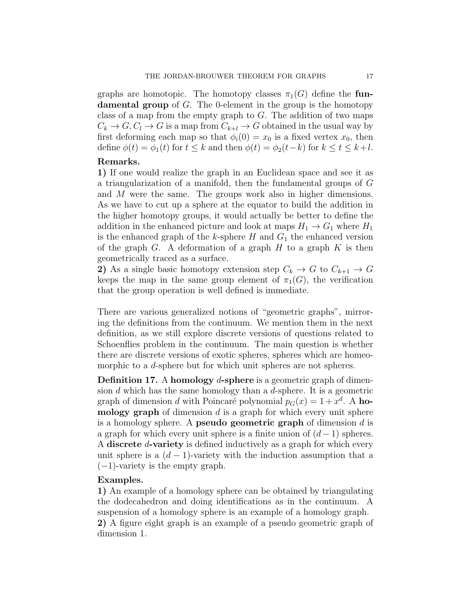graphs are homotopic. The homotopy classes  $\pi_1(G)$  define the fun**damental group** of  $G$ . The 0-element in the group is the homotopy class of a map from the empty graph to  $G$ . The addition of two maps  $C_k \to G, C_l \to G$  is a map from  $C_{k+l} \to G$  obtained in the usual way by first deforming each map so that  $\phi_i(0) = x_0$  is a fixed vertex  $x_0$ , then define  $\phi(t) = \phi_1(t)$  for  $t \leq k$  and then  $\phi(t) = \phi_2(t-k)$  for  $k \leq t \leq k+l$ .

## Remarks.

1) If one would realize the graph in an Euclidean space and see it as a triangularization of a manifold, then the fundamental groups of G and M were the same. The groups work also in higher dimensions. As we have to cut up a sphere at the equator to build the addition in the higher homotopy groups, it would actually be better to define the addition in the enhanced picture and look at maps  $H_1 \rightarrow G_1$  where  $H_1$ is the enhanced graph of the k-sphere H and  $G_1$  the enhanced version of the graph  $G$ . A deformation of a graph  $H$  to a graph  $K$  is then geometrically traced as a surface.

2) As a single basic homotopy extension step  $C_k \to G$  to  $C_{k+1} \to G$ keeps the map in the same group element of  $\pi_1(G)$ , the verification that the group operation is well defined is immediate.

There are various generalized notions of "geometric graphs", mirroring the definitions from the continuum. We mention them in the next definition, as we still explore discrete versions of questions related to Schoenflies problem in the continuum. The main question is whether there are discrete versions of exotic spheres, spheres which are homeomorphic to a *d*-sphere but for which unit spheres are not spheres.

Definition 17. A homology d-sphere is a geometric graph of dimension  $d$  which has the same homology than a  $d$ -sphere. It is a geometric graph of dimension d with Poincaré polynomial  $p_G(x) = 1 + x^d$ . A homology graph of dimension  $d$  is a graph for which every unit sphere is a homology sphere. A **pseudo geometric graph** of dimension  $d$  is a graph for which every unit sphere is a finite union of  $(d-1)$  spheres. A discrete d-variety is defined inductively as a graph for which every unit sphere is a  $(d-1)$ -variety with the induction assumption that a  $(-1)$ -variety is the empty graph.

## Examples.

1) An example of a homology sphere can be obtained by triangulating the dodecahedron and doing identifications as in the continuum. A suspension of a homology sphere is an example of a homology graph. 2) A figure eight graph is an example of a pseudo geometric graph of dimension 1.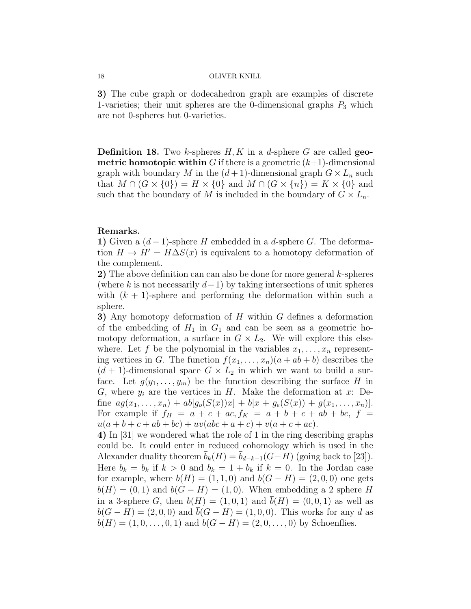3) The cube graph or dodecahedron graph are examples of discrete 1-varieties; their unit spheres are the 0-dimensional graphs  $P_3$  which are not 0-spheres but 0-varieties.

**Definition 18.** Two k-spheres  $H, K$  in a d-sphere G are called **geo**metric homotopic within G if there is a geometric  $(k+1)$ -dimensional graph with boundary M in the  $(d+1)$ -dimensional graph  $G \times L_n$  such that  $M \cap (G \times \{0\}) = H \times \{0\}$  and  $M \cap (G \times \{n\}) = K \times \{0\}$  and such that the boundary of M is included in the boundary of  $G \times L_n$ .

## Remarks.

1) Given a  $(d-1)$ -sphere H embedded in a d-sphere G. The deformation  $H \to H' = H\Delta S(x)$  is equivalent to a homotopy deformation of the complement.

2) The above definition can can also be done for more general k-spheres (where k is not necessarily  $d-1$ ) by taking intersections of unit spheres with  $(k + 1)$ -sphere and performing the deformation within such a sphere.

3) Any homotopy deformation of H within G defines a deformation of the embedding of  $H_1$  in  $G_1$  and can be seen as a geometric homotopy deformation, a surface in  $G \times L_2$ . We will explore this elsewhere. Let f be the polynomial in the variables  $x_1, \ldots, x_n$  representing vertices in G. The function  $f(x_1, \ldots, x_n)(a + ab + b)$  describes the  $(d + 1)$ -dimensional space  $G \times L_2$  in which we want to build a surface. Let  $g(y_1, \ldots, y_m)$  be the function describing the surface H in G, where  $y_i$  are the vertices in H. Make the deformation at x: Define  $ag(x_1,...,x_n) + ab[g_o(S(x))x] + b[x + g_e(S(x)) + g(x_1,...,x_n)].$ For example if  $f_H = a + c + ac$ ,  $f_K = a + b + c + ab + bc$ ,  $f =$  $u(a + b + c + ab + bc) + uv(abc + a + c) + v(a + c + ac).$ 

4) In [31] we wondered what the role of 1 in the ring describing graphs could be. It could enter in reduced cohomology which is used in the Alexander duality theorem  $\bar{b}_k(H) = \bar{b}_{d-k-1}(G-H)$  (going back to [23]). Here  $b_k = \overline{b}_k$  if  $k > 0$  and  $b_k = 1 + \overline{b}_k$  if  $k = 0$ . In the Jordan case for example, where  $b(H) = (1, 1, 0)$  and  $b(G - H) = (2, 0, 0)$  one gets  $b(H) = (0, 1)$  and  $b(G - H) = (1, 0)$ . When embedding a 2 sphere H in a 3-sphere G, then  $b(H) = (1, 0, 1)$  and  $b(H) = (0, 0, 1)$  as well as  $b(G - H) = (2, 0, 0)$  and  $\bar{b}(G - H) = (1, 0, 0)$ . This works for any d as  $b(H) = (1, 0, \ldots, 0, 1)$  and  $b(G - H) = (2, 0, \ldots, 0)$  by Schoenflies.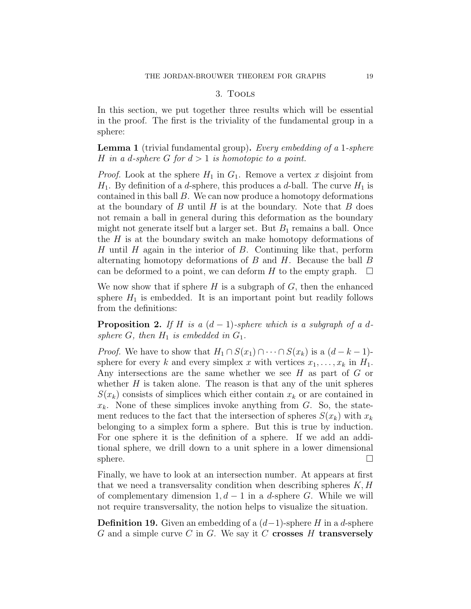## 3. Tools

In this section, we put together three results which will be essential in the proof. The first is the triviality of the fundamental group in a sphere:

Lemma 1 (trivial fundamental group). Every embedding of a 1-sphere H in a d-sphere G for  $d > 1$  is homotopic to a point.

*Proof.* Look at the sphere  $H_1$  in  $G_1$ . Remove a vertex x disjoint from  $H_1$ . By definition of a *d*-sphere, this produces a *d*-ball. The curve  $H_1$  is contained in this ball  $B$ . We can now produce a homotopy deformations at the boundary of  $B$  until  $H$  is at the boundary. Note that  $B$  does not remain a ball in general during this deformation as the boundary might not generate itself but a larger set. But  $B_1$  remains a ball. Once the  $H$  is at the boundary switch an make homotopy deformations of H until H again in the interior of B. Continuing like that, perform alternating homotopy deformations of  $B$  and  $H$ . Because the ball  $B$ can be deformed to a point, we can deform H to the empty graph.  $\Box$ 

We now show that if sphere  $H$  is a subgraph of  $G$ , then the enhanced sphere  $H_1$  is embedded. It is an important point but readily follows from the definitions:

**Proposition 2.** If H is a  $(d-1)$ -sphere which is a subgraph of a dsphere G, then  $H_1$  is embedded in  $G_1$ .

*Proof.* We have to show that  $H_1 \cap S(x_1) \cap \cdots \cap S(x_k)$  is a  $(d-k-1)$ sphere for every k and every simplex x with vertices  $x_1, \ldots, x_k$  in  $H_1$ . Any intersections are the same whether we see  $H$  as part of  $G$  or whether  $H$  is taken alone. The reason is that any of the unit spheres  $S(x_k)$  consists of simplices which either contain  $x_k$  or are contained in  $x_k$ . None of these simplices invoke anything from  $G$ . So, the statement reduces to the fact that the intersection of spheres  $S(x_k)$  with  $x_k$ belonging to a simplex form a sphere. But this is true by induction. For one sphere it is the definition of a sphere. If we add an additional sphere, we drill down to a unit sphere in a lower dimensional  $\Box$ sphere.  $\Box$ 

Finally, we have to look at an intersection number. At appears at first that we need a transversality condition when describing spheres  $K, H$ of complementary dimension  $1, d - 1$  in a d-sphere G. While we will not require transversality, the notion helps to visualize the situation.

**Definition 19.** Given an embedding of a  $(d-1)$ -sphere H in a d-sphere G and a simple curve C in G. We say it C crosses H transversely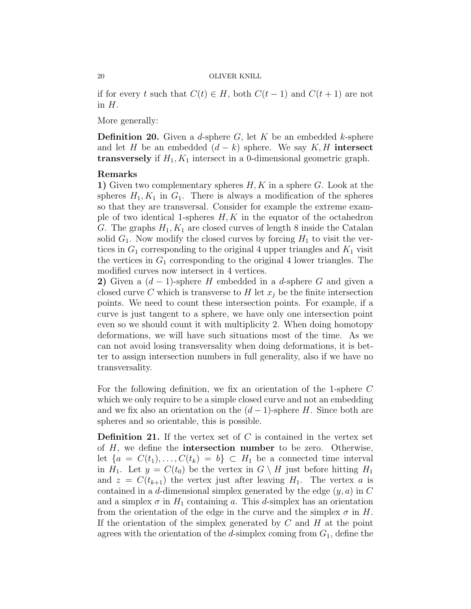if for every t such that  $C(t) \in H$ , both  $C(t-1)$  and  $C(t+1)$  are not in  $H$ .

More generally:

**Definition 20.** Given a d-sphere G, let K be an embedded k-sphere and let H be an embedded  $(d - k)$  sphere. We say K, H intersect **transversely** if  $H_1, K_1$  intersect in a 0-dimensional geometric graph.

## Remarks

1) Given two complementary spheres  $H, K$  in a sphere  $G$ . Look at the spheres  $H_1, K_1$  in  $G_1$ . There is always a modification of the spheres so that they are transversal. Consider for example the extreme example of two identical 1-spheres  $H, K$  in the equator of the octahedron G. The graphs  $H_1, K_1$  are closed curves of length 8 inside the Catalan solid  $G_1$ . Now modify the closed curves by forcing  $H_1$  to visit the vertices in  $G_1$  corresponding to the original 4 upper triangles and  $K_1$  visit the vertices in  $G_1$  corresponding to the original 4 lower triangles. The modified curves now intersect in 4 vertices.

2) Given a  $(d-1)$ -sphere H embedded in a d-sphere G and given a closed curve C which is transverse to H let  $x_i$  be the finite intersection points. We need to count these intersection points. For example, if a curve is just tangent to a sphere, we have only one intersection point even so we should count it with multiplicity 2. When doing homotopy deformations, we will have such situations most of the time. As we can not avoid losing transversality when doing deformations, it is better to assign intersection numbers in full generality, also if we have no transversality.

For the following definition, we fix an orientation of the 1-sphere C which we only require to be a simple closed curve and not an embedding and we fix also an orientation on the  $(d-1)$ -sphere H. Since both are spheres and so orientable, this is possible.

**Definition 21.** If the vertex set of  $C$  is contained in the vertex set of  $H$ , we define the **intersection number** to be zero. Otherwise, let  $\{a = C(t_1), \ldots, C(t_k) = b\} \subset H_1$  be a connected time interval in  $H_1$ . Let  $y = C(t_0)$  be the vertex in  $G \setminus H$  just before hitting  $H_1$ and  $z = C(t_{k+1})$  the vertex just after leaving  $H_1$ . The vertex a is contained in a d-dimensional simplex generated by the edge  $(y, a)$  in C and a simplex  $\sigma$  in  $H_1$  containing a. This d-simplex has an orientation from the orientation of the edge in the curve and the simplex  $\sigma$  in H. If the orientation of the simplex generated by  $C$  and  $H$  at the point agrees with the orientation of the d-simplex coming from  $G_1$ , define the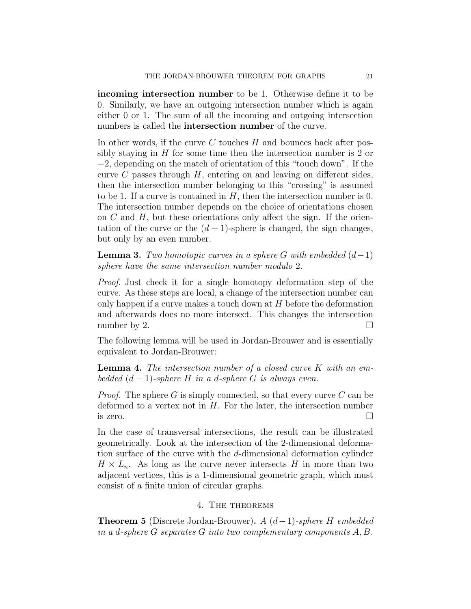incoming intersection number to be 1. Otherwise define it to be 0. Similarly, we have an outgoing intersection number which is again either 0 or 1. The sum of all the incoming and outgoing intersection numbers is called the intersection number of the curve.

In other words, if the curve  $C$  touches  $H$  and bounces back after possibly staying in  $H$  for some time then the intersection number is 2 or −2, depending on the match of orientation of this "touch down". If the curve  $C$  passes through  $H$ , entering on and leaving on different sides, then the intersection number belonging to this "crossing" is assumed to be 1. If a curve is contained in  $H$ , then the intersection number is 0. The intersection number depends on the choice of orientations chosen on  $C$  and  $H$ , but these orientations only affect the sign. If the orientation of the curve or the  $(d-1)$ -sphere is changed, the sign changes, but only by an even number.

**Lemma 3.** Two homotopic curves in a sphere G with embedded  $(d-1)$ sphere have the same intersection number modulo 2.

Proof. Just check it for a single homotopy deformation step of the curve. As these steps are local, a change of the intersection number can only happen if a curve makes a touch down at  $H$  before the deformation and afterwards does no more intersect. This changes the intersection number by 2.  $\Box$ 

The following lemma will be used in Jordan-Brouwer and is essentially equivalent to Jordan-Brouwer:

**Lemma 4.** The intersection number of a closed curve  $K$  with an embedded  $(d-1)$ -sphere H in a d-sphere G is always even.

*Proof.* The sphere G is simply connected, so that every curve C can be deformed to a vertex not in  $H$ . For the later, the intersection number is zero.  $\Box$ 

In the case of transversal intersections, the result can be illustrated geometrically. Look at the intersection of the 2-dimensional deformation surface of the curve with the d-dimensional deformation cylinder  $H \times L_n$ . As long as the curve never intersects H in more than two adjacent vertices, this is a 1-dimensional geometric graph, which must consist of a finite union of circular graphs.

# 4. The theorems

**Theorem 5** (Discrete Jordan-Brouwer). A  $(d-1)$ -sphere H embedded in a d-sphere G separates G into two complementary components A, B.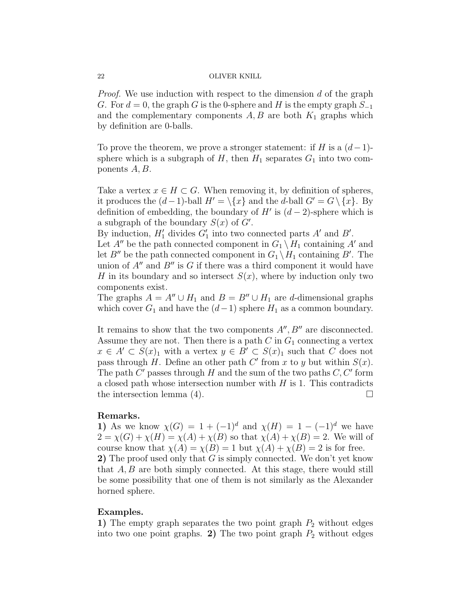Proof. We use induction with respect to the dimension d of the graph G. For  $d = 0$ , the graph G is the 0-sphere and H is the empty graph  $S_{-1}$ and the complementary components  $A, B$  are both  $K_1$  graphs which by definition are 0-balls.

To prove the theorem, we prove a stronger statement: if H is a  $(d-1)$ sphere which is a subgraph of  $H$ , then  $H_1$  separates  $G_1$  into two components A, B.

Take a vertex  $x \in H \subset G$ . When removing it, by definition of spheres, it produces the  $(d-1)$ -ball  $H' = \{x\}$  and the d-ball  $G' = G \{x\}$ . By definition of embedding, the boundary of  $H'$  is  $(d-2)$ -sphere which is a subgraph of the boundary  $S(x)$  of  $G'$ .

By induction,  $H'_1$  divides  $G'_1$  into two connected parts  $A'$  and  $B'$ .

Let  $A''$  be the path connected component in  $G_1 \setminus H_1$  containing A' and let  $B''$  be the path connected component in  $G_1 \setminus H_1$  containing  $B'$ . The union of  $A''$  and  $B''$  is G if there was a third component it would have H in its boundary and so intersect  $S(x)$ , where by induction only two components exist.

The graphs  $A = A'' \cup H_1$  and  $B = B'' \cup H_1$  are d-dimensional graphs which cover  $G_1$  and have the  $(d-1)$  sphere  $H_1$  as a common boundary.

It remains to show that the two components  $A'', B''$  are disconnected. Assume they are not. Then there is a path  $C$  in  $G_1$  connecting a vertex  $x \in A' \subset S(x)_1$  with a vertex  $y \in B' \subset S(x)_1$  such that C does not pass through H. Define an other path  $C'$  from x to y but within  $S(x)$ . The path  $C'$  passes through  $H$  and the sum of the two paths  $C, C'$  form a closed path whose intersection number with  $H$  is 1. This contradicts the intersection lemma (4).  $\Box$ 

## Remarks.

1) As we know  $\chi(G) = 1 + (-1)^d$  and  $\chi(H) = 1 - (-1)^d$  we have  $2 = \chi(G) + \chi(H) = \chi(A) + \chi(B)$  so that  $\chi(A) + \chi(B) = 2$ . We will of course know that  $\chi(A) = \chi(B) = 1$  but  $\chi(A) + \chi(B) = 2$  is for free. 2) The proof used only that  $G$  is simply connected. We don't yet know that  $A, B$  are both simply connected. At this stage, there would still be some possibility that one of them is not similarly as the Alexander horned sphere.

## Examples.

1) The empty graph separates the two point graph  $P_2$  without edges into two one point graphs. 2) The two point graph  $P_2$  without edges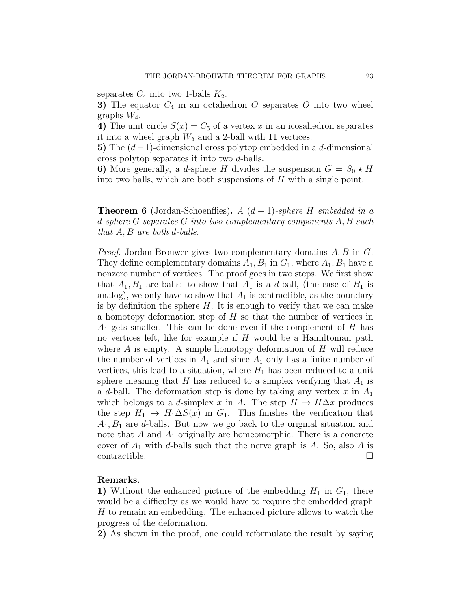separates  $C_4$  into two 1-balls  $K_2$ .

3) The equator  $C_4$  in an octahedron O separates O into two wheel graphs  $W_4$ .

4) The unit circle  $S(x) = C_5$  of a vertex x in an icosahedron separates it into a wheel graph  $W_5$  and a 2-ball with 11 vertices.

5) The  $(d-1)$ -dimensional cross polytop embedded in a d-dimensional cross polytop separates it into two d-balls.

6) More generally, a *d*-sphere H divides the suspension  $G = S_0 \star H$ into two balls, which are both suspensions of  $H$  with a single point.

**Theorem 6** (Jordan-Schoenflies). A  $(d-1)$ -sphere H embedded in a d-sphere G separates G into two complementary components A, B such that  $A, B$  are both d-balls.

Proof. Jordan-Brouwer gives two complementary domains A, B in G. They define complementary domains  $A_1, B_1$  in  $G_1$ , where  $A_1, B_1$  have a nonzero number of vertices. The proof goes in two steps. We first show that  $A_1, B_1$  are balls: to show that  $A_1$  is a d-ball, (the case of  $B_1$  is analog), we only have to show that  $A_1$  is contractible, as the boundary is by definition the sphere  $H$ . It is enough to verify that we can make a homotopy deformation step of  $H$  so that the number of vertices in  $A_1$  gets smaller. This can be done even if the complement of H has no vertices left, like for example if  $H$  would be a Hamiltonian path where  $A$  is empty. A simple homotopy deformation of  $H$  will reduce the number of vertices in  $A_1$  and since  $A_1$  only has a finite number of vertices, this lead to a situation, where  $H_1$  has been reduced to a unit sphere meaning that H has reduced to a simplex verifying that  $A_1$  is a d-ball. The deformation step is done by taking any vertex x in  $A_1$ which belongs to a d-simplex x in A. The step  $H \to H\Delta x$  produces the step  $H_1 \to H_1 \Delta S(x)$  in  $G_1$ . This finishes the verification that  $A_1, B_1$  are d-balls. But now we go back to the original situation and note that  $A$  and  $A_1$  originally are homeomorphic. There is a concrete cover of  $A_1$  with d-balls such that the nerve graph is A. So, also A is contractible.  $\Box$ 

## Remarks.

1) Without the enhanced picture of the embedding  $H_1$  in  $G_1$ , there would be a difficulty as we would have to require the embedded graph H to remain an embedding. The enhanced picture allows to watch the progress of the deformation.

2) As shown in the proof, one could reformulate the result by saying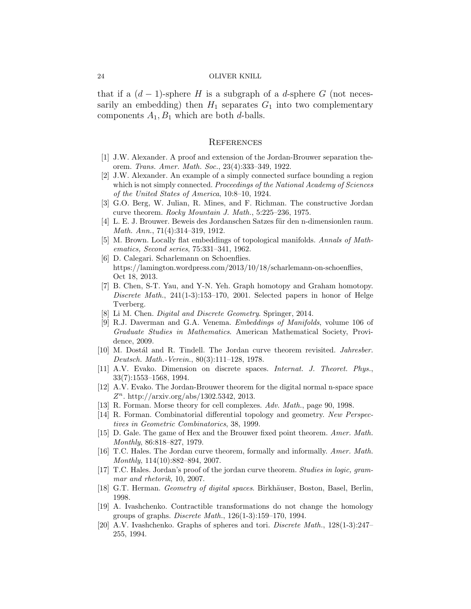that if a  $(d-1)$ -sphere H is a subgraph of a d-sphere G (not necessarily an embedding) then  $H_1$  separates  $G_1$  into two complementary components  $A_1, B_1$  which are both d-balls.

#### **REFERENCES**

- [1] J.W. Alexander. A proof and extension of the Jordan-Brouwer separation theorem. Trans. Amer. Math. Soc., 23(4):333–349, 1922.
- [2] J.W. Alexander. An example of a simply connected surface bounding a region which is not simply connected. Proceedings of the National Academy of Sciences of the United States of America, 10:8–10, 1924.
- [3] G.O. Berg, W. Julian, R. Mines, and F. Richman. The constructive Jordan curve theorem. Rocky Mountain J. Math., 5:225–236, 1975.
- [4] L. E. J. Brouwer. Beweis des Jordanschen Satzes für den n-dimensionlen raum. Math. Ann., 71(4):314–319, 1912.
- [5] M. Brown. Locally flat embeddings of topological manifolds. Annals of Mathematics, Second series, 75:331–341, 1962.
- [6] D. Calegari. Scharlemann on Schoenflies. https://lamington.wordpress.com/2013/10/18/scharlemann-on-schoenflies, Oct 18, 2013.
- [7] B. Chen, S-T. Yau, and Y-N. Yeh. Graph homotopy and Graham homotopy. Discrete Math., 241(1-3):153–170, 2001. Selected papers in honor of Helge Tverberg.
- [8] Li M. Chen. *Digital and Discrete Geometry*. Springer, 2014.
- [9] R.J. Daverman and G.A. Venema. Embeddings of Manifolds, volume 106 of Graduate Studies in Mathematics. American Mathematical Society, Providence, 2009.
- [10] M. Dostál and R. Tindell. The Jordan curve theorem revisited. *Jahresber.* Deutsch. Math.-Verein., 80(3):111–128, 1978.
- [11] A.V. Evako. Dimension on discrete spaces. Internat. J. Theoret. Phys., 33(7):1553–1568, 1994.
- [12] A.V. Evako. The Jordan-Brouwer theorem for the digital normal n-space space  $Z<sup>n</sup>$ . http://arxiv.org/abs/1302.5342, 2013.
- [13] R. Forman. Morse theory for cell complexes. Adv. Math., page 90, 1998.
- [14] R. Forman. Combinatorial differential topology and geometry. New Perspectives in Geometric Combinatorics, 38, 1999.
- [15] D. Gale. The game of Hex and the Brouwer fixed point theorem. Amer. Math. Monthly, 86:818–827, 1979.
- [16] T.C. Hales. The Jordan curve theorem, formally and informally. Amer. Math. Monthly, 114(10):882–894, 2007.
- [17] T.C. Hales. Jordan's proof of the jordan curve theorem. Studies in logic, grammar and rhetorik, 10, 2007.
- [18] G.T. Herman. *Geometry of digital spaces*. Birkhäuser, Boston, Basel, Berlin, 1998.
- [19] A. Ivashchenko. Contractible transformations do not change the homology groups of graphs. Discrete Math., 126(1-3):159–170, 1994.
- [20] A.V. Ivashchenko. Graphs of spheres and tori. Discrete Math., 128(1-3):247– 255, 1994.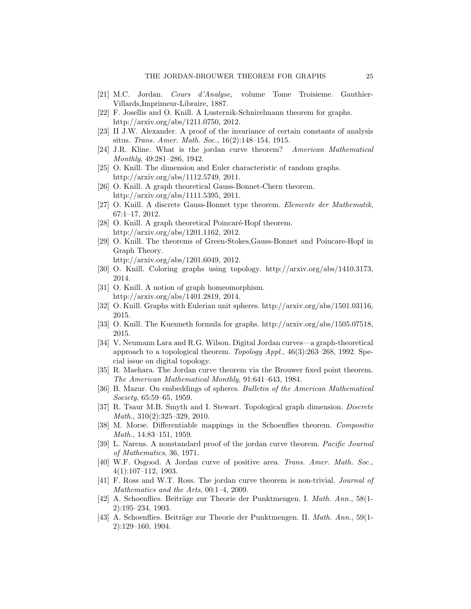- [21] M.C. Jordan. Cours d'Analyse, volume Tome Troisieme. Gauthier-Villards,Imprimeur-Libraire, 1887.
- [22] F. Josellis and O. Knill. A Lusternik-Schnirelmann theorem for graphs. http://arxiv.org/abs/1211.0750, 2012.
- [23] II J.W. Alexander. A proof of the invariance of certain constants of analysis situs. Trans. Amer. Math. Soc., 16(2):148–154, 1915.
- [24] J.R. Kline. What is the jordan curve theorem? American Mathematical Monthly, 49:281–286, 1942.
- [25] O. Knill. The dimension and Euler characteristic of random graphs. http://arxiv.org/abs/1112.5749, 2011.
- [26] O. Knill. A graph theoretical Gauss-Bonnet-Chern theorem. http://arxiv.org/abs/1111.5395, 2011.
- [27] O. Knill. A discrete Gauss-Bonnet type theorem. Elemente der Mathematik, 67:1–17, 2012.
- [28] O. Knill. A graph theoretical Poincaré-Hopf theorem. http://arxiv.org/abs/1201.1162, 2012.
- [29] O. Knill. The theorems of Green-Stokes,Gauss-Bonnet and Poincare-Hopf in Graph Theory.

http://arxiv.org/abs/1201.6049, 2012.

- [30] O. Knill. Coloring graphs using topology. http://arxiv.org/abs/1410.3173, 2014.
- [31] O. Knill. A notion of graph homeomorphism. http://arxiv.org/abs/1401.2819, 2014.
- [32] O. Knill. Graphs with Eulerian unit spheres. http://arxiv.org/abs/1501.03116, 2015.
- [33] O. Knill. The Kuenneth formula for graphs. http://arxiv.org/abs/1505.07518, 2015.
- [34] V. Neumann Lara and R.G. Wilson. Digital Jordan curves—a graph-theoretical approach to a topological theorem. Topology Appl., 46(3):263–268, 1992. Special issue on digital topology.
- [35] R. Maehara. The Jordan curve theorem via the Brouwer fixed point theorem. The American Mathematical Monthly, 91:641–643, 1984.
- [36] B. Mazur. On embeddings of spheres. Bulletin of the American Mathematical Society, 65:59–65, 1959.
- [37] R. Tsaur M.B. Smyth and I. Stewart. Topological graph dimension. Discrete Math., 310(2):325–329, 2010.
- [38] M. Morse. Differentiable mappings in the Schoenflies theorem. Compositio Math., 14:83–151, 1959.
- [39] L. Narens. A nonstandard proof of the jordan curve theorem. Pacific Journal of Mathematics, 36, 1971.
- [40] W.F. Osgood. A Jordan curve of positive area. Trans. Amer. Math. Soc., 4(1):107–112, 1903.
- [41] F. Ross and W.T. Ross. The jordan curve theorem is non-trivial. Journal of Mathematics and the Arts, 00:1–4, 2009.
- [42] A. Schoenflies. Beiträge zur Theorie der Punktmengen. I. Math. Ann., 58(1-2):195–234, 1903.
- [43] A. Schoenflies. Beiträge zur Theorie der Punktmengen. II. Math. Ann., 59(1-2):129–160, 1904.